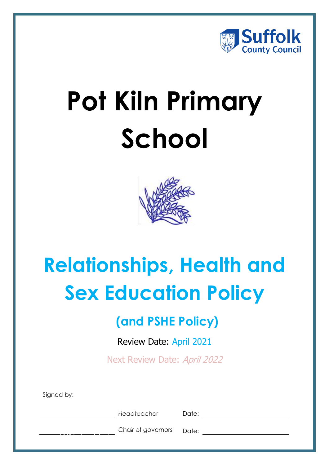

# **Pot Kiln Primary School**



## **Relationships, Health and Sex Education Policy**

## **(and PSHE Policy)**

Review Date: April 2021

Next Review Date: April 2022

Signed by:

documents.<br>.

**Headteacher Managers** a cloud-based document management management management management management management management management

Chair of governors Date: and Mats to safely store and easily store and easily store and easily store and easily store and easily store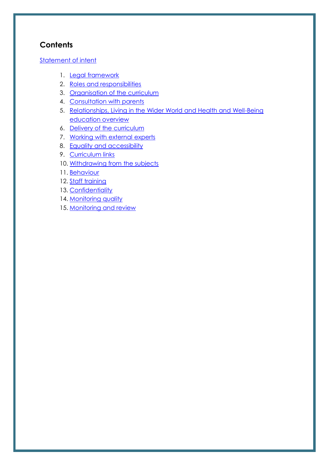## **Contents**

#### [Statement of intent](#page-2-0)

- 1. [Legal framework](#page-3-0)
- 2. [Roles and responsibilities](#page-3-1)
- 3. [Organisation of the curriculum](#page-5-0)
- 4. [Consultation with parents](#page-6-0)
- 5. [Relationships, Living in the Wider World and Health and Well-Being](#page-7-0) [education overview](#page-7-0)
- 6. [Delivery of the curriculum](#page-8-0)
- 7. [Working with external experts](#page-13-0)
- 8. [Equality and accessibility](#page-13-1)
- 9. [Curriculum links](#page-14-0)
- 10. [Withdrawing from the subjects](#page-14-1)
- 11. [Behaviour](#page-15-0)
- 12. [Staff training](#page-15-1)
- 13. [Confidentiality](#page-16-0)
- 14. [Monitoring quality](#page-16-1)
- 15. [Monitoring and review](#page-17-0)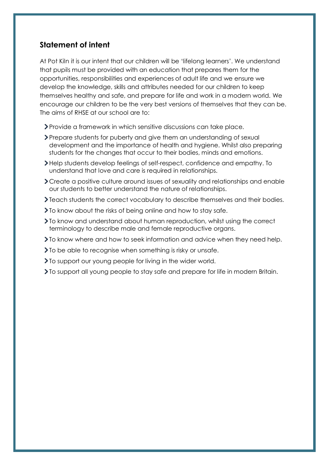#### <span id="page-2-0"></span>**Statement of intent**

At Pot Kiln it is our intent that our children will be 'lifelong learners'. We understand that pupils must be provided with an education that prepares them for the opportunities, responsibilities and experiences of adult life and we ensure we develop the knowledge, skills and attributes needed for our children to keep themselves healthy and safe, and prepare for life and work in a modern world. We encourage our children to be the very best versions of themselves that they can be. The aims of RHSE at our school are to:

- Provide a framework in which sensitive discussions can take place.
- Prepare students for puberty and give them an understanding of sexual development and the importance of health and hygiene. Whilst also preparing students for the changes that occur to their bodies, minds and emotions.
- Help students develop feelings of self-respect, confidence and empathy. To understand that love and care is required in relationships.
- Create a positive culture around issues of sexuality and relationships and enable our students to better understand the nature of relationships.
- Teach students the correct vocabulary to describe themselves and their bodies.
- **T** To know about the risks of being online and how to stay safe.
- To know and understand about human reproduction, whilst using the correct terminology to describe male and female reproductive organs.
- To know where and how to seek information and advice when they need help.
- Io be able to recognise when something is risky or unsafe.
- To support our young people for living in the wider world.
- To support all young people to stay safe and prepare for life in modern Britain.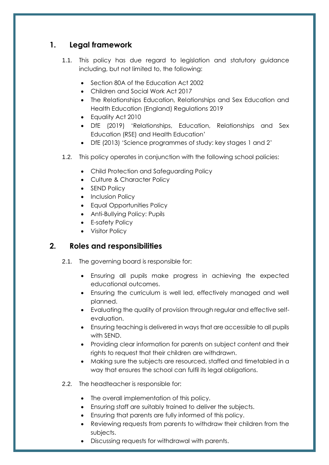## <span id="page-3-0"></span>**1. Legal framework**

- 1.1. This policy has due regard to legislation and statutory guidance including, but not limited to, the following:
	- Section 80A of the Education Act 2002
	- Children and Social Work Act 2017
	- The Relationships Education, Relationships and Sex Education and Health Education (England) Regulations 2019
	- Equality Act 2010
	- DfE (2019) 'Relationships, Education, Relationships and Sex Education (RSE) and Health Education'
	- DfE (2013) 'Science programmes of study: key stages 1 and 2'
- 1.2. This policy operates in conjunction with the following school policies:
	- Child Protection and Safeguarding Policy
	- Culture & Character Policy
	- SEND Policy
	- Inclusion Policy
	- Equal Opportunities Policy
	- Anti-Bullying Policy: Pupils
	- E-safety Policy
	- Visitor Policy

## <span id="page-3-1"></span>**2. Roles and responsibilities**

- 2.1. The governing board is responsible for:
	- Ensuring all pupils make progress in achieving the expected educational outcomes.
	- Ensuring the curriculum is well led, effectively managed and well planned.
	- Evaluating the quality of provision through regular and effective selfevaluation.
	- Ensuring teaching is delivered in ways that are accessible to all pupils with SEND.
	- Providing clear information for parents on subject content and their rights to request that their children are withdrawn.
	- Making sure the subjects are resourced, staffed and timetabled in a way that ensures the school can fulfil its legal obligations.
- 2.2. The headteacher is responsible for:
	- The overall implementation of this policy.
	- Ensuring staff are suitably trained to deliver the subjects.
	- Ensuring that parents are fully informed of this policy.
	- Reviewing requests from parents to withdraw their children from the subjects.
	- Discussing requests for withdrawal with parents.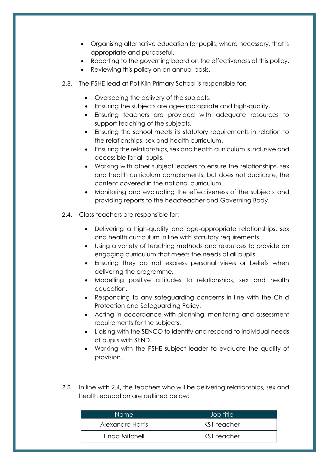- Organising alternative education for pupils, where necessary, that is appropriate and purposeful.
- Reporting to the governing board on the effectiveness of this policy.
- Reviewing this policy on an annual basis.
- 2.3. The PSHE lead at Pot Kiln Primary School is responsible for:
	- Overseeing the delivery of the subjects.
	- Ensuring the subjects are age-appropriate and high-quality.
	- Ensuring teachers are provided with adequate resources to support teaching of the subjects.
	- Ensuring the school meets its statutory requirements in relation to the relationships, sex and health curriculum.
	- Ensuring the relationships, sex and health curriculum is inclusive and accessible for all pupils.
	- Working with other subject leaders to ensure the relationships, sex and health curriculum complements, but does not duplicate, the content covered in the national curriculum.
	- Monitoring and evaluating the effectiveness of the subjects and providing reports to the headteacher and Governing Body.
- 2.4. Class teachers are responsible for:
	- Delivering a high-quality and age-appropriate relationships, sex and health curriculum in line with statutory requirements.
	- Using a variety of teaching methods and resources to provide an engaging curriculum that meets the needs of all pupils.
	- Ensuring they do not express personal views or beliefs when delivering the programme.
	- Modelling positive attitudes to relationships, sex and health education.
	- Responding to any safeguarding concerns in line with the Child Protection and Safeguarding Policy.
	- Acting in accordance with planning, monitoring and assessment requirements for the subjects.
	- Liaising with the SENCO to identify and respond to individual needs of pupils with SEND.
	- Working with the PSHE subject leader to evaluate the quality of provision.
- 2.5. In line with 2.4, the teachers who will be delivering relationships, sex and health education are outlined below:

| Name             | Job title   |
|------------------|-------------|
| Alexandra Harris | KS1 teacher |
| Linda Mitchell   | KS1 teacher |
|                  |             |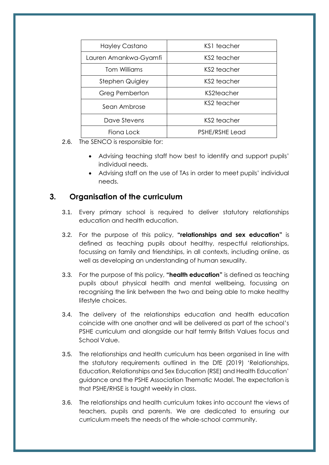| Hayley Castano        | KS1 teacher           |  |
|-----------------------|-----------------------|--|
| Lauren Amankwa-Gyamfi | KS2 teacher           |  |
| <b>Tom Williams</b>   | KS2 teacher           |  |
| Stephen Quigley       | KS2 teacher           |  |
| Greg Pemberton        | KS2teacher            |  |
| Sean Ambrose          | KS2 teacher           |  |
| Dave Stevens          | KS2 teacher           |  |
| Fiona Lock            | <b>PSHE/RSHE Lead</b> |  |

- 2.6. The SENCO is responsible for:
	- Advising teaching staff how best to identify and support pupils' individual needs.
	- Advising staff on the use of TAs in order to meet pupils' individual needs.

## <span id="page-5-0"></span>**3. Organisation of the curriculum**

- 3.1. Every primary school is required to deliver statutory relationships education and health education.
- 3.2. For the purpose of this policy, **"relationships and sex education"** is defined as teaching pupils about healthy, respectful relationships, focussing on family and friendships, in all contexts, including online, as well as developing an understanding of human sexuality.
- 3.3. For the purpose of this policy, **"health education"** is defined as teaching pupils about physical health and mental wellbeing, focussing on recognising the link between the two and being able to make healthy lifestyle choices.
- 3.4. The delivery of the relationships education and health education coincide with one another and will be delivered as part of the school's PSHE curriculum and alongside our half termly British Values focus and School Value.
- 3.5. The relationships and health curriculum has been organised in line with the statutory requirements outlined in the DfE (2019) 'Relationships, Education, Relationships and Sex Education (RSE) and Health Education' guidance and the PSHE Association Thematic Model. The expectation is that PSHE/RHSE is taught weekly in class.
- 3.6. The relationships and health curriculum takes into account the views of teachers, pupils and parents. We are dedicated to ensuring our curriculum meets the needs of the whole-school community.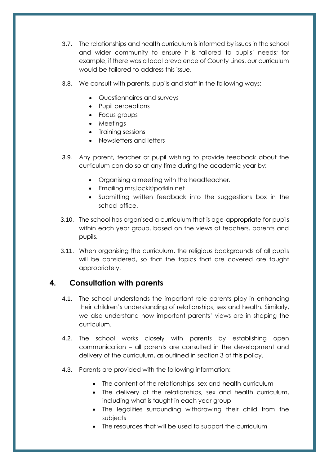- 3.7. The relationships and health curriculum is informed by issues in the school and wider community to ensure it is tailored to pupils' needs; for example, if there was a local prevalence of County Lines, our curriculum would be tailored to address this issue.
- 3.8. We consult with parents, pupils and staff in the following ways:
	- Questionnaires and surveys
	- Pupil perceptions
	- Focus groups
	- Meetings
	- Training sessions
	- Newsletters and letters
- 3.9. Any parent, teacher or pupil wishing to provide feedback about the curriculum can do so at any time during the academic year by:
	- Organising a meeting with the headteacher.
	- Emailing mrs.lock@potkiln.net
	- Submitting written feedback into the suggestions box in the school office.
- 3.10. The school has organised a curriculum that is age-appropriate for pupils within each year group, based on the views of teachers, parents and pupils.
- 3.11. When organising the curriculum, the religious backgrounds of all pupils will be considered, so that the topics that are covered are taught appropriately.

## <span id="page-6-0"></span>**4. Consultation with parents**

- 4.1. The school understands the important role parents play in enhancing their children's understanding of relationships, sex and health. Similarly, we also understand how important parents' views are in shaping the curriculum.
- 4.2. The school works closely with parents by establishing open communication – all parents are consulted in the development and delivery of the curriculum, as outlined in [section 3](#page-5-0) of this policy.
- 4.3. Parents are provided with the following information:
	- The content of the relationships, sex and health curriculum
	- The delivery of the relationships, sex and health curriculum, including what is taught in each year group
	- The legalities surrounding withdrawing their child from the subjects
	- The resources that will be used to support the curriculum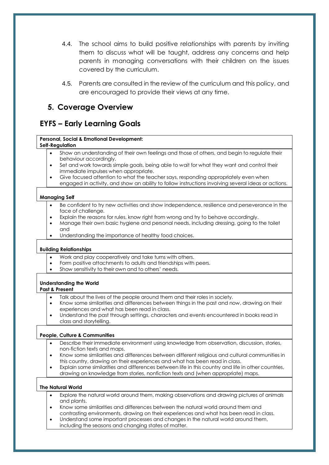- 4.4. The school aims to build positive relationships with parents by inviting them to discuss what will be taught, address any concerns and help parents in managing conversations with their children on the issues covered by the curriculum.
- 4.5. Parents are consulted in the review of the curriculum and this policy, and are encouraged to provide their views at any time.

#### <span id="page-7-0"></span>**5. Coverage Overview**

## **EYFS – Early Learning Goals**

#### **Personal, Social & Emotional Development:**

#### **Self-Regulation**

- Show an understanding of their own feelings and those of others, and begin to regulate their behaviour accordingly.
- Set and work towards simple goals, being able to wait for what they want and control their immediate impulses when appropriate.
- Give focused attention to what the teacher says, responding appropriately even when engaged in activity, and show an ability to follow instructions involving several ideas or actions.

#### **Managing Self**

- Be confident to try new activities and show independence, resilience and perseverance in the face of challenge.
- Explain the reasons for rules, know right from wrong and try to behave accordingly.
- Manage their own basic hygiene and personal needs, including dressing, going to the toilet and
- Understanding the importance of healthy food choices.

#### **Building Relationships**

- Work and play cooperatively and take turns with others.
- Form positive attachments to adults and friendships with peers.
- Show sensitivity to their own and to others' needs.

#### **Understanding the World**

#### **Past & Present**

- Talk about the lives of the people around them and their roles in society.
- Know some similarities and differences between things in the past and now, drawing on their experiences and what has been read in class.
- Understand the past through settings, characters and events encountered in books read in class and storytelling.

#### **People, Culture & Communities**

- Describe their immediate environment using knowledge from observation, discussion, stories, non-fiction texts and maps.
- Know some similarities and differences between different religious and cultural communities in this country, drawing on their experiences and what has been read in class.
- Explain some similarities and differences between life in this country and life in other countries, drawing on knowledge from stories, nonfiction texts and (when appropriate) maps.

#### **The Natural World**

- Explore the natural world around them, making observations and drawing pictures of animals and plants.
- Know some similarities and differences between the natural world around them and contrasting environments, drawing on their experiences and what has been read in class.
- Understand some important processes and changes in the natural world around them, including the seasons and changing states of matter.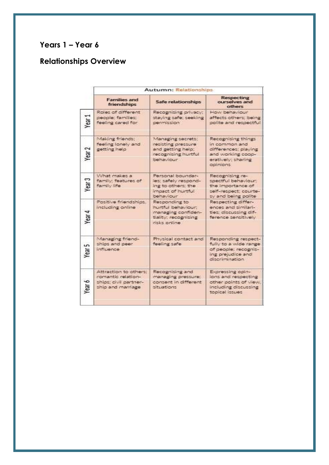## **Years 1 – Year 6**

## <span id="page-8-0"></span>**Relationships Overview**

|                   | Autumn: Relationships                                                                     |                                                                                                                |                                                                                                                  |  |  |
|-------------------|-------------------------------------------------------------------------------------------|----------------------------------------------------------------------------------------------------------------|------------------------------------------------------------------------------------------------------------------|--|--|
|                   | <b>Families and</b><br>friendships                                                        | Safe relationships                                                                                             | <b>Respecting</b><br>ourselves and<br>others                                                                     |  |  |
| Year <sub>1</sub> | Roles of different<br>people: families:<br>feeling cared for                              | Recognising privacy;<br>staying safe; seeking<br>permission                                                    | How behaviour<br>affects others; being<br>polite and respectful                                                  |  |  |
| Year <sub>2</sub> | Making friends;<br>feeling lonely and<br>getting help                                     | Managing secrets;<br>resisting pressure<br>and getting help;<br>recognising hurtful                            | Recognising things<br>in common and<br>differences: playing<br>and working coop-                                 |  |  |
|                   |                                                                                           | behaviour                                                                                                      | eratively; sharing<br>opinions.                                                                                  |  |  |
| Year <sub>3</sub> | What makes a<br>family: features of<br>family Fre                                         | Personal boundar-<br>les: safely respond-<br>ing to others; the<br>impact of hurtful                           | Recogniting re-<br>spectful behaviour.<br>the importance of<br>self-respect: courte-                             |  |  |
| Year 4            | Positive friendships.<br>including online                                                 | behaviour<br>Responding to<br>hurtful behaviour:<br>managing confiden-<br>tiality: recognising<br>risks online | sy and being polite<br>Respecting differ-<br>ences and similari-<br>ties: discussing dif-<br>ference sensitively |  |  |
| Year <sub>5</sub> | Managing friend-<br>ships and peer<br>influence                                           | Physical contact and<br>feeling safe                                                                           | Responding respect-<br>fully to a wide range<br>of people; recopris-<br>ing prejudice and<br>discrimination      |  |  |
| Year 6            | Attraction to others:<br>romantic relation-<br>ships: civil partner-<br>ship and marriage | Recogniting and<br>managing pressure;<br>consent in different.<br>situations.                                  | Expressing opin-<br>ions and respecting<br>other points of view.<br>including discussing<br>topical issues       |  |  |
|                   |                                                                                           |                                                                                                                |                                                                                                                  |  |  |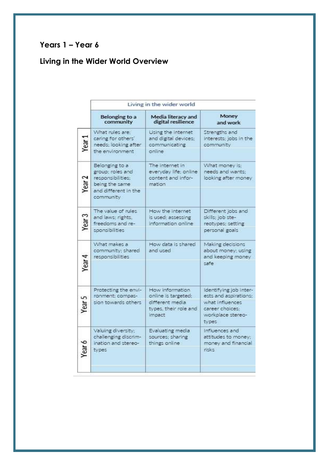## **Years 1 – Year 6**

## **Living in the Wider World Overview**

| Living in the wider world                                                                                      |                                                                                              |                                                                                                                     |  |
|----------------------------------------------------------------------------------------------------------------|----------------------------------------------------------------------------------------------|---------------------------------------------------------------------------------------------------------------------|--|
| Belonging to a<br>community                                                                                    | Media literacy and<br>digital resilience                                                     | Money<br>and work                                                                                                   |  |
| What rules are:<br>caring for others'<br>needs; looking after<br>the environment                               | Using the internet<br>and digital devices;<br>communicating<br>online                        | Strengths and<br>interests; jobs in the<br>community                                                                |  |
| Belonging to a<br>group; roles and<br>responsibilities:<br>being the same<br>and different in the<br>community | The internet in<br>everyday life; online<br>content and infor-<br>mation                     | What money is:<br>needs and wants:<br>looking after money                                                           |  |
| The value of rules<br>and laws; rights,<br>freedoms and re-<br>sponsibilities                                  | How the internet<br>is used; assessing<br>information online                                 | Different jobs and<br>skills; job ste-<br>reotypes; setting<br>personal goals                                       |  |
| What makes a<br>community; shared<br>responsibilities <sup>:</sup>                                             | How data is shared<br>and used                                                               | Making decisions<br>about money: using<br>and keeping money<br>safe                                                 |  |
| Protecting the envi-<br>ronment; compas-<br>sion towards others                                                | How information<br>online is targeted;<br>different media<br>types, their role and<br>impact | Identifying job inter-<br>ests and aspirations:<br>what influences<br>career choices:<br>workplace stereo-<br>types |  |
| Valuing diversity:<br>challenging discrim-<br>ination and stereo-<br>types                                     | Evaluating media<br>sources: sharing<br>things online                                        | Influences and<br>attitudes to money;<br>money and financial<br>risks:                                              |  |
|                                                                                                                |                                                                                              |                                                                                                                     |  |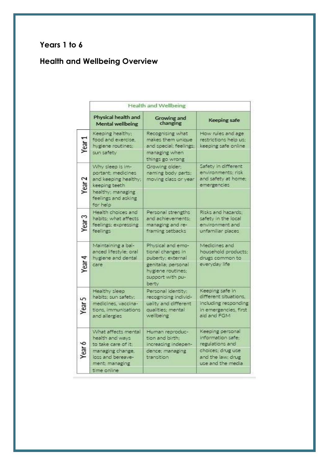## **Years 1 to 6**

## **Health and Wellbeing Overview**

|                   | Health and Wellbeing                                                                                                                    |                                                                                                                                      |                                                                                                                          |  |  |
|-------------------|-----------------------------------------------------------------------------------------------------------------------------------------|--------------------------------------------------------------------------------------------------------------------------------------|--------------------------------------------------------------------------------------------------------------------------|--|--|
|                   | Physical health and<br>Mental wellbeing                                                                                                 | <b>Growing and</b><br>changing                                                                                                       | <b>Keeping safe</b>                                                                                                      |  |  |
| Year <sub>1</sub> | Keeping healthy:<br>food and exercise,<br>hygiene routines:<br>sun safety                                                               | Recognising what<br>makes them unique<br>and special; feelings;<br>managing when<br>things go wrong                                  | How rules and age<br>restrictions help us:<br>keeping safe online                                                        |  |  |
| Year <sub>2</sub> | Why sleep is im-<br>portant; medicines<br>and keeping healthy;<br>keeping teeth<br>healthy; managing<br>feelings and asking<br>for help | Growing older;<br>naming body parts:<br>moving class or year                                                                         | Safety in different<br>environments: risk<br>and safety at home;<br>emergencies                                          |  |  |
| Year <sub>3</sub> | Health choices and<br>habits; what affects<br>feelings; expressing<br>feelings                                                          | Personal strengths<br>and achievements:<br>managing and re-<br>framing setbacks                                                      | Risks and hazards:<br>safety in the local<br>environment and<br>unfamiliar places                                        |  |  |
| Year 4            | Maintaining a bal-<br>anced lifestyle: oral<br>hygiene and dental<br>care                                                               | Physical and emo-<br>tional changes in<br>puberty; external<br>genitalia; personal<br>hygiene routines;<br>support with pu-<br>berty | Medicines and<br>household products:<br>drugs common to<br>everyday life                                                 |  |  |
| Year 5            | Healthy sleep.<br>habits; sun safety;<br>medicines, vaccina-<br>tions, immunisations<br>and allergies                                   | Personal identity:<br>recognising individ-<br>uality and different<br>qualities; mental<br>wellbeing.                                | Keeping safe in<br>different situations.<br>including responding<br>in emergencies, first<br>aid and FGM                 |  |  |
| Year 6            | What affects mental<br>health and ways<br>to take care of it.<br>managing change,<br>loss and bereave-<br>ment: managing<br>time online | Human reproduc-<br>tion and birth:<br>increasing indepen-<br>dence, managing<br>transition                                           | Keeping personal<br>information safe:<br>regulations and<br>choices; drug use.<br>and the law: drug<br>use and the media |  |  |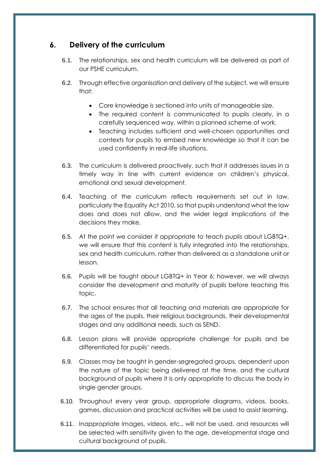## **6. Delivery of the curriculum**

- 6.1. The relationships, sex and health curriculum will be delivered as part of our PSHE curriculum.
- 6.2. Through effective organisation and delivery of the subject, we will ensure that:
	- Core knowledge is sectioned into units of manageable size.
	- The required content is communicated to pupils clearly, in a carefully sequenced way, within a planned scheme of work.
	- Teaching includes sufficient and well-chosen opportunities and contexts for pupils to embed new knowledge so that it can be used confidently in real-life situations.
- 6.3. The curriculum is delivered proactively, such that it addresses issues in a timely way in line with current evidence on children's physical, emotional and sexual development.
- 6.4. Teaching of the curriculum reflects requirements set out in law, particularly the Equality Act 2010, so that pupils understand what the law does and does not allow, and the wider legal implications of the decisions they make.
- 6.5. At the point we consider it appropriate to teach pupils about LGBTQ+, we will ensure that this content is fully integrated into the relationships, sex and health curriculum, rather than delivered as a standalone unit or lesson.
- 6.6. Pupils will be taught about LGBTQ+ in Year 6; however, we will always consider the development and maturity of pupils before teaching this topic.
- 6.7. The school ensures that all teaching and materials are appropriate for the ages of the pupils, their religious backgrounds, their developmental stages and any additional needs, such as SEND.
- 6.8. Lesson plans will provide appropriate challenge for pupils and be differentiated for pupils' needs.
- 6.9. Classes may be taught in gender-segregated groups, dependent upon the nature of the topic being delivered at the time, and the cultural background of pupils where it is only appropriate to discuss the body in single gender groups.
- 6.10. Throughout every year group, appropriate diagrams, videos, books, games, discussion and practical activities will be used to assist learning.
- 6.11. Inappropriate images, videos, etc., will not be used, and resources will be selected with sensitivity given to the age, developmental stage and cultural background of pupils.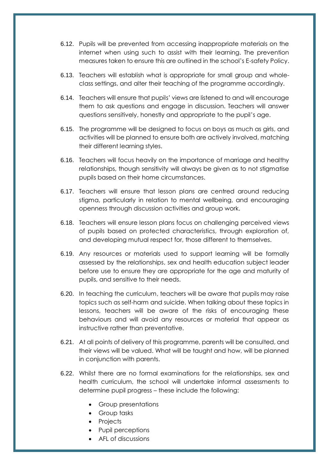- 6.12. Pupils will be prevented from accessing inappropriate materials on the internet when using such to assist with their learning. The prevention measures taken to ensure this are outlined in the school's E-safety Policy.
- 6.13. Teachers will establish what is appropriate for small group and wholeclass settings, and alter their teaching of the programme accordingly.
- 6.14. Teachers will ensure that pupils' views are listened to and will encourage them to ask questions and engage in discussion. Teachers will answer questions sensitively, honestly and appropriate to the pupil's age.
- 6.15. The programme will be designed to focus on boys as much as girls, and activities will be planned to ensure both are actively involved, matching their different learning styles.
- 6.16. Teachers will focus heavily on the importance of marriage and healthy relationships, though sensitivity will always be given as to not stigmatise pupils based on their home circumstances.
- 6.17. Teachers will ensure that lesson plans are centred around reducing stigma, particularly in relation to mental wellbeing, and encouraging openness through discussion activities and group work.
- 6.18. Teachers will ensure lesson plans focus on challenging perceived views of pupils based on protected characteristics, through exploration of, and developing mutual respect for, those different to themselves.
- 6.19. Any resources or materials used to support learning will be formally assessed by the relationships, sex and health education subject leader before use to ensure they are appropriate for the age and maturity of pupils, and sensitive to their needs.
- 6.20. In teaching the curriculum, teachers will be aware that pupils may raise topics such as self-harm and suicide. When talking about these topics in lessons, teachers will be aware of the risks of encouraging these behaviours and will avoid any resources or material that appear as instructive rather than preventative.
- 6.21. At all points of delivery of this programme, parents will be consulted, and their views will be valued. What will be taught and how, will be planned in conjunction with parents.
- 6.22. Whilst there are no formal examinations for the relationships, sex and health curriculum, the school will undertake informal assessments to determine pupil progress – these include the following:
	- Group presentations
	- **•** Group tasks
	- Projects
	- Pupil perceptions
	- AFL of discussions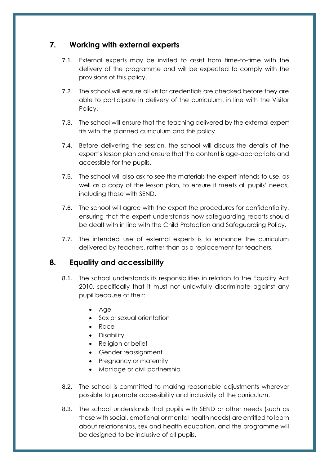## <span id="page-13-0"></span>**7. Working with external experts**

- 7.1. External experts may be invited to assist from time-to-time with the delivery of the programme and will be expected to comply with the provisions of this policy.
- 7.2. The school will ensure all visitor credentials are checked before they are able to participate in delivery of the curriculum, in line with the Visitor Policy.
- 7.3. The school will ensure that the teaching delivered by the external expert fits with the planned curriculum and this policy.
- 7.4. Before delivering the session, the school will discuss the details of the expert's lesson plan and ensure that the content is age-appropriate and accessible for the pupils.
- 7.5. The school will also ask to see the materials the expert intends to use, as well as a copy of the lesson plan, to ensure it meets all pupils' needs, including those with SEND.
- 7.6. The school will agree with the expert the procedures for confidentiality, ensuring that the expert understands how safeguarding reports should be dealt with in line with the Child Protection and Safeguarding Policy.
- 7.7. The intended use of external experts is to enhance the curriculum delivered by teachers, rather than as a replacement for teachers.

#### <span id="page-13-1"></span>**8. Equality and accessibility**

- 8.1. The school understands its responsibilities in relation to the Equality Act 2010, specifically that it must not unlawfully discriminate against any pupil because of their:
	- Age
	- Sex or sexual orientation
	- Race
	- Disability
	- Religion or belief
	- Gender reassignment
	- Pregnancy or maternity
	- Marriage or civil partnership
- 8.2. The school is committed to making reasonable adjustments wherever possible to promote accessibility and inclusivity of the curriculum.
- 8.3. The school understands that pupils with SEND or other needs (such as those with social, emotional or mental health needs) are entitled to learn about relationships, sex and health education, and the programme will be designed to be inclusive of all pupils.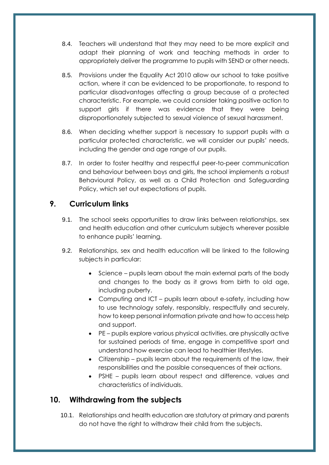- 8.4. Teachers will understand that they may need to be more explicit and adapt their planning of work and teaching methods in order to appropriately deliver the programme to pupils with SEND or other needs.
- 8.5. Provisions under the Equality Act 2010 allow our school to take positive action, where it can be evidenced to be proportionate, to respond to particular disadvantages affecting a group because of a protected characteristic. For example, we could consider taking positive action to support girls if there was evidence that they were being disproportionately subjected to sexual violence of sexual harassment.
- 8.6. When deciding whether support is necessary to support pupils with a particular protected characteristic, we will consider our pupils' needs, including the gender and age range of our pupils.
- 8.7. In order to foster healthy and respectful peer-to-peer communication and behaviour between boys and girls, the school implements a robust Behavioural Policy, as well as a Child Protection and Safeguarding Policy, which set out expectations of pupils.

## <span id="page-14-0"></span>**9. Curriculum links**

- 9.1. The school seeks opportunities to draw links between relationships, sex and health education and other curriculum subjects wherever possible to enhance pupils' learning.
- 9.2. Relationships, sex and health education will be linked to the following subjects in particular:
	- Science pupils learn about the main external parts of the body and changes to the body as it grows from birth to old age, including puberty.
	- Computing and ICT pupils learn about e-safety, including how to use technology safely, responsibly, respectfully and securely, how to keep personal information private and how to access help and support.
	- PE pupils explore various physical activities, are physically active for sustained periods of time, engage in competitive sport and understand how exercise can lead to healthier lifestyles.
	- Citizenship pupils learn about the requirements of the law, their responsibilities and the possible consequences of their actions.
	- PSHE pupils learn about respect and difference, values and characteristics of individuals.

## <span id="page-14-1"></span>**10. Withdrawing from the subjects**

10.1. Relationships and health education are statutory at primary and parents do not have the right to withdraw their child from the subjects.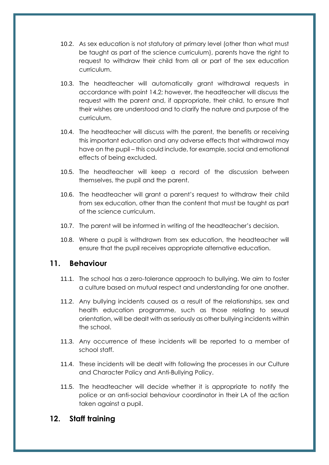- 10.2. As sex education is not statutory at primary level (other than what must be taught as part of the science curriculum), parents have the right to request to withdraw their child from all or part of the sex education curriculum.
- 10.3. The headteacher will automatically grant withdrawal requests in accordance with point 14.2; however, the headteacher will discuss the request with the parent and, if appropriate, their child, to ensure that their wishes are understood and to clarify the nature and purpose of the curriculum.
- 10.4. The headteacher will discuss with the parent, the benefits or receiving this important education and any adverse effects that withdrawal may have on the pupil – this could include, for example, social and emotional effects of being excluded.
- 10.5. The headteacher will keep a record of the discussion between themselves, the pupil and the parent.
- 10.6. The headteacher will grant a parent's request to withdraw their child from sex education, other than the content that must be taught as part of the science curriculum.
- 10.7. The parent will be informed in writing of the headteacher's decision.
- 10.8. Where a pupil is withdrawn from sex education, the headteacher will ensure that the pupil receives appropriate alternative education.

#### <span id="page-15-0"></span>**11. Behaviour**

- 11.1. The school has a zero-tolerance approach to bullying. We aim to foster a culture based on mutual respect and understanding for one another.
- 11.2. Any bullying incidents caused as a result of the relationships, sex and health education programme, such as those relating to sexual orientation, will be dealt with as seriously as other bullying incidents within the school.
- 11.3. Any occurrence of these incidents will be reported to a member of school staff.
- 11.4. These incidents will be dealt with following the processes in our Culture and Character Policy and Anti-Bullying Policy.
- 11.5. The headteacher will decide whether it is appropriate to notify the police or an anti-social behaviour coordinator in their LA of the action taken against a pupil.

## <span id="page-15-1"></span>**12. Staff training**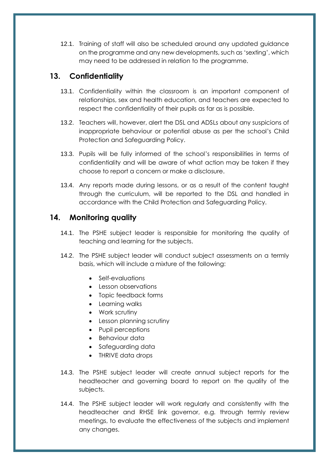12.1. Training of staff will also be scheduled around any updated guidance on the programme and any new developments, such as 'sexting', which may need to be addressed in relation to the programme.

## <span id="page-16-0"></span>**13. Confidentiality**

- 13.1. Confidentiality within the classroom is an important component of relationships, sex and health education, and teachers are expected to respect the confidentiality of their pupils as far as is possible.
- 13.2. Teachers will, however, alert the DSL and ADSLs about any suspicions of inappropriate behaviour or potential abuse as per the school's Child Protection and Safeguarding Policy.
- 13.3. Pupils will be fully informed of the school's responsibilities in terms of confidentiality and will be aware of what action may be taken if they choose to report a concern or make a disclosure.
- 13.4. Any reports made during lessons, or as a result of the content taught through the curriculum, will be reported to the DSL and handled in accordance with the Child Protection and Safeguarding Policy.

## <span id="page-16-1"></span>**14. Monitoring quality**

- 14.1. The PSHE subject leader is responsible for monitoring the quality of teaching and learning for the subjects.
- 14.2. The PSHE subject leader will conduct subject assessments on a termly basis, which will include a mixture of the following:
	- Self-evaluations
	- Lesson observations
	- Topic feedback forms
	- Learning walks
	- Work scrutiny
	- Lesson planning scrutiny
	- Pupil perceptions
	- Behaviour data
	- Safeguarding data
	- THRIVE data drops
- 14.3. The PSHE subject leader will create annual subject reports for the headteacher and governing board to report on the quality of the subjects.
- 14.4. The PSHE subject leader will work regularly and consistently with the headteacher and RHSE link governor, e.g. through termly review meetings, to evaluate the effectiveness of the subjects and implement any changes.